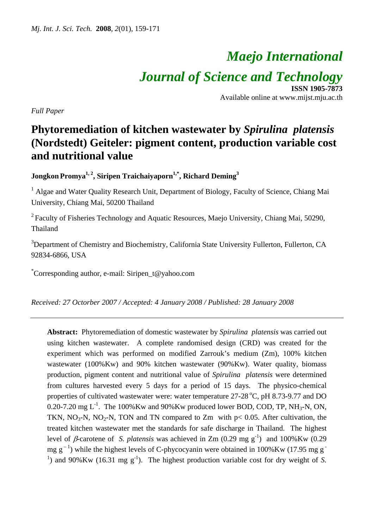# *Maejo International Journal of Science and Technology* **ISSN 1905-7873**

Available online at www.mijst.mju.ac.th

*Full Paper* 

## **Phytoremediation of kitchen wastewater by** *Spirulina platensis* **(Nordstedt) Geiteler: pigment content, production variable cost and nutritional value**

**Jongkon Promya<sup>1, 2</sup>, Siripen Traichaiyaporn<sup>1,\*</sup>, Richard Deming<sup>3</sup>** 

<sup>1</sup> Algae and Water Quality Research Unit, Department of Biology, Faculty of Science, Chiang Mai University, Chiang Mai, 50200 Thailand

 $2$  Faculty of Fisheries Technology and Aquatic Resources, Maejo University, Chiang Mai, 50290, Thailand

<sup>3</sup>Department of Chemistry and Biochemistry, California State University Fullerton, Fullerton, CA 92834-6866, USA

\* Corresponding author, e-mail: Siripen\_t@yahoo.com

*Received: 27 Octorber 2007 / Accepted: 4 January 2008 / Published: 28 January 2008* 

**Abstract:** Phytoremediation of domestic wastewater by *Spirulina platensis* was carried out using kitchen wastewater. A complete randomised design (CRD) was created for the experiment which was performed on modified Zarrouk's medium (Zm), 100% kitchen wastewater (100%Kw) and 90% kitchen wastewater (90%Kw). Water quality, biomass production, pigment content and nutritional value of *Spirulina platensis* were determined from cultures harvested every 5 days for a period of 15 days. The physico-chemical properties of cultivated wastewater were: water temperature  $27-28\degree C$ , pH  $8.73-9.77$  and DO 0.20-7.20 mg  $L^{-1}$ . The 100%Kw and 90%Kw produced lower BOD, COD, TP, NH<sub>3</sub>-N, ON, TKN, NO<sub>3</sub>-N, NO<sub>2</sub>-N, TON and TN compared to Zm with  $p < 0.05$ . After cultivation, the treated kitchen wastewater met the standards for safe discharge in Thailand. The highest level of *β*-carotene of *S. platensis* was achieved in Zm  $(0.29 \text{ mg g}^{-1})$  and  $100\%$ Kw  $(0.29 \text{ m})$ mg g<sup>-1</sup>) while the highest levels of C-phycocyanin were obtained in 100%Kw (17.95 mg g<sup>-1</sup>) <sup>1</sup>) and 90%Kw (16.31 mg  $g^{-1}$ ). The highest production variable cost for dry weight of *S*.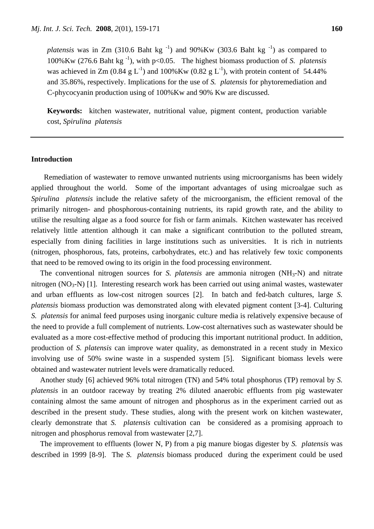*platensis* was in Zm (310.6 Baht kg<sup>-1</sup>) and 90%Kw (303.6 Baht kg<sup>-1</sup>) as compared to 100%Kw (276.6 Baht kg -1), with p<0.05. The highest biomass production of *S. platensis* was achieved in Zm (0.84 g L<sup>-1</sup>) and 100%Kw (0.82 g L<sup>-1</sup>), with protein content of 54.44% and 35.86%, respectively. Implications for the use of *S. platensis* for phytoremediation and C-phycocyanin production using of 100%Kw and 90% Kw are discussed.

**Keywords:** kitchen wastewater, nutritional value, pigment content, production variable cost, *Spirulina platensis*

#### **Introduction**

 Remediation of wastewater to remove unwanted nutrients using microorganisms has been widely applied throughout the world. Some of the important advantages of using microalgae such as *Spirulina platensis* include the relative safety of the microorganism, the efficient removal of the primarily nitrogen- and phosphorous-containing nutrients, its rapid growth rate, and the ability to utilise the resulting algae as a food source for fish or farm animals. Kitchen wastewater has received relatively little attention although it can make a significant contribution to the polluted stream, especially from dining facilities in large institutions such as universities. It is rich in nutrients (nitrogen, phosphorous, fats, proteins, carbohydrates, etc.) and has relatively few toxic components that need to be removed owing to its origin in the food processing environment.

The conventional nitrogen sources for *S. platensis* are ammonia nitrogen (NH3-N) and nitrate nitrogen ( $NO<sub>3</sub>$ - $N$ ) [1]. Interesting research work has been carried out using animal wastes, wastewater and urban effluents as low-cost nitrogen sources [2]. In batch and fed-batch cultures, large *S. platensis* biomass production was demonstrated along with elevated pigment content [3-4]. Culturing *S. platensis* for animal feed purposes using inorganic culture media is relatively expensive because of the need to provide a full complement of nutrients. Low-cost alternatives such as wastewater should be evaluated as a more cost-effective method of producing this important nutritional product. In addition, production of *S. platensis* can improve water quality, as demonstrated in a recent study in Mexico involving use of 50% swine waste in a suspended system [5]. Significant biomass levels were obtained and wastewater nutrient levels were dramatically reduced.

Another study [6] achieved 96% total nitrogen (TN) and 54% total phosphorus (TP) removal by *S. platensis* in an outdoor raceway by treating 2% diluted anaerobic effluents from pig wastewater containing almost the same amount of nitrogen and phosphorus as in the experiment carried out as described in the present study. These studies, along with the present work on kitchen wastewater, clearly demonstrate that *S. platensis* cultivation can be considered as a promising approach to nitrogen and phosphorus removal from wastewater [2,7].

The improvement to effluents (lower N, P) from a pig manure biogas digester by *S. platensis* was described in 1999 [8-9]. The *S. platensis* biomass produced during the experiment could be used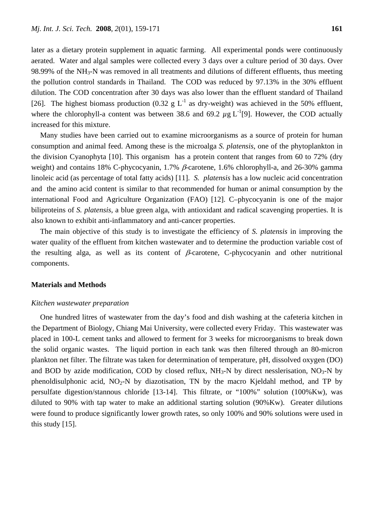later as a dietary protein supplement in aquatic farming. All experimental ponds were continuously aerated. Water and algal samples were collected every 3 days over a culture period of 30 days. Over 98.99% of the  $NH<sub>3</sub>-N$  was removed in all treatments and dilutions of different effluents, thus meeting the pollution control standards in Thailand. The COD was reduced by 97.13% in the 30% effluent dilution. The COD concentration after 30 days was also lower than the effluent standard of Thailand [26]. The highest biomass production (0.32 g  $L^{-1}$  as dry-weight) was achieved in the 50% effluent, where the chlorophyll-a content was between 38.6 and 69.2  $\mu$ g L<sup>-1</sup>[9]. However, the COD actually increased for this mixture.

Many studies have been carried out to examine microorganisms as a source of protein for human consumption and animal feed. Among these is the microalga *S. platensis*, one of the phytoplankton in the division Cyanophyta [10]. This organism has a protein content that ranges from 60 to 72% (dry weight) and contains 18% C-phycocyanin, 1.7%  $\beta$ -carotene, 1.6% chlorophyll-a, and 26-30% gamma linoleic acid (as percentage of total fatty acids) [11]. *S. platensis* has a low nucleic acid concentration and the amino acid content is similar to that recommended for human or animal consumption by the international Food and Agriculture Organization (FAO) [12]. C–phycocyanin is one of the major biliproteins of *S. platensis*, a blue green alga, with antioxidant and radical scavenging properties. It is also known to exhibit anti-inflammatory and anti-cancer properties.

The main objective of this study is to investigate the efficiency of *S. platensis* in improving the water quality of the effluent from kitchen wastewater and to determine the production variable cost of the resulting alga, as well as its content of  $\beta$ -carotene, C-phycocyanin and other nutritional components.

#### **Materials and Methods**

#### *Kitchen wastewater preparation*

One hundred litres of wastewater from the day's food and dish washing at the cafeteria kitchen in the Department of Biology, Chiang Mai University, were collected every Friday. This wastewater was placed in 100-L cement tanks and allowed to ferment for 3 weeks for microorganisms to break down the solid organic wastes. The liquid portion in each tank was then filtered through an 80-micron plankton net filter. The filtrate was taken for determination of temperature, pH, dissolved oxygen (DO) and BOD by azide modification, COD by closed reflux,  $NH<sub>3</sub>-N$  by direct nesslerisation,  $NO<sub>3</sub>-N$  by phenoldisulphonic acid,  $NO<sub>2</sub>-N$  by diazotisation, TN by the macro Kjeldahl method, and TP by persulfate digestion/stannous chloride [13-14]. This filtrate, or "100%" solution (100%Kw), was diluted to 90% with tap water to make an additional starting solution (90%Kw). Greater dilutions were found to produce significantly lower growth rates, so only 100% and 90% solutions were used in this study [15].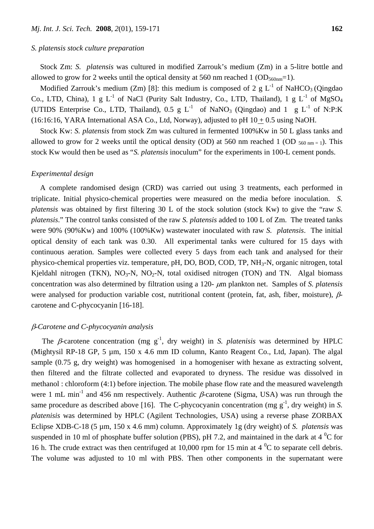#### *S. platensis stock culture preparation*

Stock Zm: *S. platensis* was cultured in modified Zarrouk's medium (Zm) in a 5-litre bottle and allowed to grow for 2 weeks until the optical density at 560 nm reached 1 ( $OD_{560nm}=1$ ).

Modified Zarrouk's medium (Zm) [8]: this medium is composed of 2 g  $L^{-1}$  of NaHCO<sub>3</sub> (Qingdao Co., LTD, China), 1 g  $L^{-1}$  of NaCl (Purity Salt Industry, Co., LTD, Thailand), 1 g  $L^{-1}$  of MgSO<sub>4</sub> (UTIDS Enterprise Co., LTD, Thailand),  $0.5 \text{ g L}^{-1}$  of NaNO<sub>3</sub> (Oingdao) and  $1 \text{ g L}^{-1}$  of N:P:K (16:16:16, YARA International ASA Co., Ltd, Norway), adjusted to pH  $10 + 0.5$  using NaOH.

Stock Kw: *S. platensis* from stock Zm was cultured in fermented 100%Kw in 50 L glass tanks and allowed to grow for 2 weeks until the optical density (OD) at 560 nm reached 1 (OD  $_{560 \text{ nm }=1}$ ). This stock Kw would then be used as "*S. platensis* inoculum" for the experiments in 100-L cement ponds.

#### *Experimental design*

A complete randomised design (CRD) was carried out using 3 treatments, each performed in triplicate. Initial physico-chemical properties were measured on the media before inoculation. *S. platensis* was obtained by first filtering 30 L of the stock solution (stock Kw) to give the "raw *S. platensis*." The control tanks consisted of the raw *S. platensis* added to 100 L of Zm. The treated tanks were 90% (90%Kw) and 100% (100%Kw) wastewater inoculated with raw *S. platensis*. The initial optical density of each tank was 0.30. All experimental tanks were cultured for 15 days with continuous aeration. Samples were collected every 5 days from each tank and analysed for their physico-chemical properties viz. temperature, pH, DO, BOD, COD, TP, NH3-N, organic nitrogen, total Kjeldahl nitrogen (TKN),  $NO_3-N$ ,  $NO_2-N$ , total oxidised nitrogen (TON) and TN. Algal biomass concentration was also determined by filtration using a 120- μm plankton net. Samples of *S. platensis* were analysed for production variable cost, nutritional content (protein, fat, ash, fiber, moisture), βcarotene and C-phycocyanin [16-18].

#### β*-Carotene and C-phycocyanin analysis*

The β-carotene concentration (mg  $g^{-1}$ , dry weight) in *S. platenisis* was determined by HPLC (Mightysil RP-18 GP, 5 µm, 150 x 4.6 mm ID column, Kanto Reagent Co., Ltd, Japan). The algal sample (0.75 g, dry weight) was homogenised in a homogeniser with hexane as extracting solvent, then filtered and the filtrate collected and evaporated to dryness. The residue was dissolved in methanol : chloroform (4:1) before injection. The mobile phase flow rate and the measured wavelength were 1 mL min<sup>-1</sup> and 456 nm respectively. Authentic β-carotene (Sigma, USA) was run through the same procedure as described above [16]. The C-phycocyanin concentration (mg  $g^{-1}$ , dry weight) in *S*. *platenisis* was determined by HPLC (Agilent Technologies, USA) using a reverse phase ZORBAX Eclipse XDB-C-18 (5 µm, 150 x 4.6 mm) column. Approximately 1g (dry weight) of *S. platensis* was suspended in 10 ml of phosphate buffer solution (PBS), pH 7.2, and maintained in the dark at  $4^{\circ}$ C for 16 h. The crude extract was then centrifuged at 10,000 rpm for 15 min at  $4^{\degree}C$  to separate cell debris. The volume was adjusted to 10 ml with PBS. Then other components in the supernatant were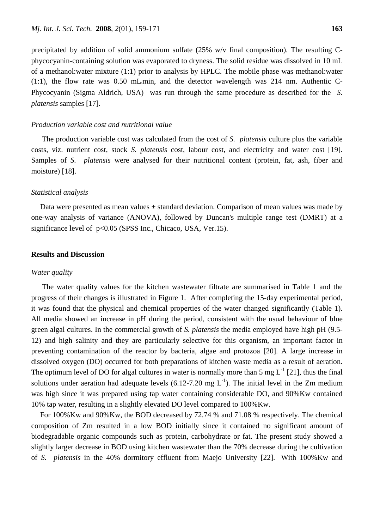precipitated by addition of solid ammonium sulfate (25% w/v final composition). The resulting Cphycocyanin-containing solution was evaporated to dryness. The solid residue was dissolved in 10 mL of a methanol:water mixture (1:1) prior to analysis by HPLC. The mobile phase was methanol:water  $(1:1)$ , the flow rate was 0.50 mL/min, and the detector wavelength was 214 nm. Authentic C-Phycocyanin (Sigma Aldrich, USA) was run through the same procedure as described for the *S. platensis* samples [17].

#### *Production variable cost and nutritional value*

 The production variable cost was calculated from the cost of *S. platensis* culture plus the variable costs, viz. nutrient cost, stock *S. platensis* cost, labour cost, and electricity and water cost [19]. Samples of *S. platensis* were analysed for their nutritional content (protein, fat, ash, fiber and moisture) [18].

#### *Statistical analysis*

Data were presented as mean values  $\pm$  standard deviation. Comparison of mean values was made by one-way analysis of variance (ANOVA), followed by Duncan's multiple range test (DMRT) at a significance level of  $p<0.05$  (SPSS Inc., Chicaco, USA, Ver.15).

#### **Results and Discussion**

#### *Water quality*

The water quality values for the kitchen wastewater filtrate are summarised in Table 1 and the progress of their changes is illustrated in Figure 1. After completing the 15-day experimental period, it was found that the physical and chemical properties of the water changed significantly (Table 1). All media showed an increase in pH during the period, consistent with the usual behaviour of blue green algal cultures. In the commercial growth of *S. platensis* the media employed have high pH (9.5- 12) and high salinity and they are particularly selective for this organism, an important factor in preventing contamination of the reactor by bacteria, algae and protozoa [20]. A large increase in dissolved oxygen (DO) occurred for both preparations of kitchen waste media as a result of aeration. The optimum level of DO for algal cultures in water is normally more than 5 mg  $L^{-1}$  [21], thus the final solutions under aeration had adequate levels (6.12-7.20 mg  $L^{-1}$ ). The initial level in the Zm medium was high since it was prepared using tap water containing considerable DO, and 90%Kw contained 10% tap water, resulting in a slightly elevated DO level compared to 100%Kw.

For 100%Kw and 90%Kw, the BOD decreased by 72.74 % and 71.08 % respectively. The chemical composition of Zm resulted in a low BOD initially since it contained no significant amount of biodegradable organic compounds such as protein, carbohydrate or fat. The present study showed a slightly larger decrease in BOD using kitchen wastewater than the 70% decrease during the cultivation of *S. platensis* in the 40% dormitory effluent from Maejo University [22]. With 100%Kw and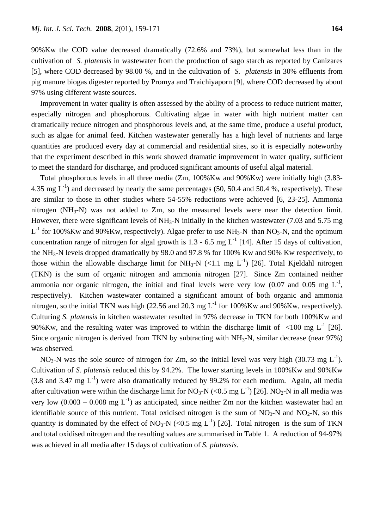90%Kw the COD value decreased dramatically (72.6% and 73%), but somewhat less than in the cultivation of *S. platensis* in wastewater from the production of sago starch as reported by Canizares [5], where COD decreased by 98.00 %, and in the cultivation of *S. platensis* in 30% effluents from pig manure biogas digester reported by Promya and Traichiyaporn [9], where COD decreased by about 97% using different waste sources.

Improvement in water quality is often assessed by the ability of a process to reduce nutrient matter, especially nitrogen and phosphorous. Cultivating algae in water with high nutrient matter can dramatically reduce nitrogen and phosphorous levels and, at the same time, produce a useful product, such as algae for animal feed. Kitchen wastewater generally has a high level of nutrients and large quantities are produced every day at commercial and residential sites, so it is especially noteworthy that the experiment described in this work showed dramatic improvement in water quality, sufficient to meet the standard for discharge, and produced significant amounts of useful algal material.

Total phosphorous levels in all three media (Zm, 100%Kw and 90%Kw) were initially high (3.83- 4.35 mg  $L^{-1}$ ) and decreased by nearly the same percentages (50, 50.4 and 50.4 %, respectively). These are similar to those in other studies where 54-55% reductions were achieved [6, 23-25]. Ammonia nitrogen ( $NH_3-N$ ) was not added to Zm, so the measured levels were near the detection limit. However, there were significant levels of  $NH_3-N$  initially in the kitchen wastewater (7.03 and 5.75 mg)  $L^{-1}$  for 100%Kw and 90%Kw, respectively). Algae prefer to use NH<sub>3</sub>-N than NO<sub>3</sub>-N, and the optimum concentration range of nitrogen for algal growth is 1.3 - 6.5 mg  $L^{-1}$  [14]. After 15 days of cultivation, the NH3-N levels dropped dramatically by 98.0 and 97.8 % for 100% Kw and 90% Kw respectively, to those within the allowable discharge limit for  $NH_3-N$  (<1.1 mg L<sup>-1</sup>) [26]. Total Kjeldahl nitrogen (TKN) is the sum of organic nitrogen and ammonia nitrogen [27]. Since Zm contained neither ammonia nor organic nitrogen, the initial and final levels were very low  $(0.07 \text{ and } 0.05 \text{ mg } L^{-1})$ , respectively). Kitchen wastewater contained a significant amount of both organic and ammonia nitrogen, so the initial TKN was high (22.56 and 20.3 mg  $L^{-1}$  for 100%Kw and 90%Kw, respectively). Culturing *S. platensis* in kitchen wastewater resulted in 97% decrease in TKN for both 100%Kw and 90%Kw, and the resulting water was improved to within the discharge limit of  $\langle 100 \text{ mg } L^{-1} [26]$ . Since organic nitrogen is derived from TKN by subtracting with  $NH<sub>3</sub>-N$ , similar decrease (near 97%) was observed.

NO<sub>3</sub>-N was the sole source of nitrogen for Zm, so the initial level was very high (30.73 mg  $L^{-1}$ ). Cultivation of *S. platensis* reduced this by 94.2%. The lower starting levels in 100%Kw and 90%Kw  $(3.8 \text{ and } 3.47 \text{ mg } L^{-1})$  were also dramatically reduced by 99.2% for each medium. Again, all media after cultivation were within the discharge limit for NO<sub>3</sub>-N (<0.5 mg L<sup>-1</sup>) [26]. NO<sub>2</sub>-N in all media was very low  $(0.003 - 0.008 \text{ mg L}^{-1})$  as anticipated, since neither Zm nor the kitchen wastewater had an identifiable source of this nutrient. Total oxidised nitrogen is the sum of  $NO<sub>3</sub>-N$  and  $NO<sub>2</sub>-N$ , so this quantity is dominated by the effect of NO<sub>3</sub>-N (<0.5 mg  $L^{-1}$ ) [26]. Total nitrogen is the sum of TKN and total oxidised nitrogen and the resulting values are summarised in Table 1. A reduction of 94-97% was achieved in all media after 15 days of cultivation of *S. platensis*.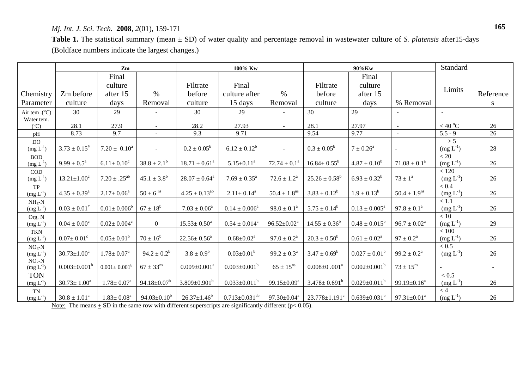### *Mj. Int. J. Sci. Tech.* **2008**, *2*(01), 159-171

**Table 1.** The statistical summary (mean ± SD) of water quality and percentage removal in wastewater culture of *S. platensis* after15-days (Boldface numbers indicate the largest changes.)

|                          | Zm                           |                               |                               | 100% Kw              |                        |                               | 90%Kw                                                     |                             |                               | Standard                 |           |
|--------------------------|------------------------------|-------------------------------|-------------------------------|----------------------|------------------------|-------------------------------|-----------------------------------------------------------|-----------------------------|-------------------------------|--------------------------|-----------|
|                          |                              | Final                         |                               |                      |                        |                               |                                                           | Final                       |                               |                          |           |
|                          |                              | culture                       |                               | Filtrate             | Final                  |                               | Filtrate                                                  | culture                     |                               |                          |           |
| Chemistry                | Zm before                    | after 15                      | $\%$                          | before               | culture after          | $\%$                          | before                                                    | after 15                    |                               | Limits                   | Reference |
| Parameter                | culture                      | days                          | Removal                       | culture              | 15 days                | Removal                       | culture                                                   | days                        | % Removal                     |                          | S         |
| Air tem $.(°C)$          | 30                           | 29                            |                               | 30                   | 29                     |                               | 30                                                        | 29                          |                               |                          |           |
| Water tem.               |                              |                               |                               |                      |                        |                               |                                                           |                             |                               |                          |           |
| $(^{\circ}C)$            | 28.1                         | 27.9                          |                               | 28.2                 | 27.93                  | $\sim$                        | 28.1                                                      | 27.97                       |                               | $<$ 40 $^{\rm o}{\rm C}$ | 26        |
| pH                       | 8.73                         | 9.7                           | $\sim$                        | 9.3                  | 9.71                   |                               | 9.54                                                      | 9.77                        | $\blacksquare$                | $5.5 - 9$                | 26        |
| DO.<br>$(mg L^{-1})$     | $3.73 \pm 0.15^a$            | $7.20 \pm 0.10^a$             |                               | $0.2 \pm 0.05^b$     | $6.12 \pm 0.12^b$      | $\blacksquare$                | $0.3 \pm 0.05^b$                                          | $7 \pm 0.26^{\circ}$        |                               | > 5<br>$(mg L-1)$        | 28        |
| <b>BOD</b>               |                              |                               |                               |                      |                        |                               |                                                           |                             |                               | < 20                     |           |
| $(mg L^{-1})$            | $9.99 \pm 0.5^{\text{a}}$    | $6.11 \pm 0.10^c$             | $38.8 \pm 2.1^b$              | $18.71 \pm 0.61^a$   | $5.15 \pm 0.11^a$      | $72.74 \pm 0.1^a$             | $16.84 \pm 0.55^{\rm b}$                                  | $4.87 \pm 0.10^b$           | $71.08 \pm 0.1^a$             | $(mg L^{-1})$            | 26        |
| $\rm COD$                |                              |                               |                               |                      |                        |                               |                                                           |                             |                               | < 120                    |           |
| $(mg L^{-1})$            | $13.21 \pm 1.00^c$           | $7.20 \pm .25^{ab}$           | $45.1 \pm 3.8^b$              | $28.07 \pm 0.64^a$   | $7.69 \pm 0.35^a$      | $72.6 \pm 1.2^{\text{a}}$     | $25.26 \pm 0.58^b$                                        | $6.93 \pm 0.32^b$           | $73 \pm 1^{\rm a}$            | $(mg L^{-1})$            | 26        |
| TP                       |                              |                               |                               |                      |                        |                               |                                                           |                             |                               | < 0.4                    |           |
| $(mg L^{-1})$            | $4.35 \pm 0.39^a$            | $2.17 \pm 0.06^a$             | $50 \pm 6$ <sup>ns</sup>      | $4.25 \pm 0.13^{ab}$ | $2.11 \pm 0.14^a$      | $50.4 \pm 1.8^{\text{ns}}$    | $3.83 \pm 0.12^b$                                         | $1.9 \pm 0.13^b$            | $50.4 \pm 1.9^{\text{ns}}$    | $(mg L^{-1})$            | 26        |
| $NH3-N$<br>$(mg L^{-1})$ | $0.03 \pm 0.01^{\circ}$      | $0.01 \pm 0.006^b$            | $67 \pm 18^b$                 | $7.03 \pm 0.06^a$    | $0.14 \pm 0.006^a$     | $98.0 \pm 0.1^a$              | $5.75 \pm 0.14^b$                                         | $0.13 \pm 0.005^{\text{a}}$ | $97.8 \pm 0.1^a$              | < 1.1<br>$(mg L^{-1})$   | 26        |
| Org. N                   |                              |                               |                               |                      |                        |                               |                                                           |                             |                               | < 10                     |           |
| $(mg L-1)$               | $0.04 \pm 0.00^{\circ}$      | $0.02 \pm 0.004$ <sup>c</sup> | $\overline{0}$                | $15.53 \pm 0.50^a$   | $0.54 \pm 0.014^a$     | $96.52 \pm 0.02^a$            | $14.55 \pm 0.36^b$                                        | $0.48 \pm 0.015^b$          | $96.7 \pm 0.02^{\text{a}}$    | $(mg L^{-1})$            | 29        |
| <b>TKN</b>               |                              |                               |                               |                      |                        |                               |                                                           |                             |                               | $<100\,$                 |           |
| $(mg L^{-1})$            | $0.07 \pm 0.01$ <sup>c</sup> | $0.05 \pm 0.01^b$             | $70 \pm 16^b$                 | $22.56 \pm 0.56^a$   | $0.68 \pm 0.02^a$      | $97.0 \pm 0.2^{\circ}$        | $20.3 \pm 0.50^b$                                         | $0.61 \pm 0.02^a$           | $97 \pm 0.2^{\rm a}$          | $(mg L^{-1})$            | 26        |
| $NO3-N$                  |                              |                               |                               |                      |                        |                               |                                                           |                             |                               | < 0.5                    |           |
| $(mg L^{-1})$            | $30.73 \pm 1.00^a$           | $1.78 \pm 0.07^{\text{a}}$    | $94.2 \pm 0.2^b$              | $3.8 \pm 0.9^b$      | $0.03 \pm 0.01^b$      | $99.2 \pm 0.3^a$              | $3.47 \pm 0.69^b$                                         | $0.027 \pm 0.01^b$          | $99.2 \pm 0.2^a$              | $(mg L^{-1})$            | 26        |
| $NO2-N$<br>$(mg L^{-1})$ | $0.003 \pm 0.001^b$          | $0.001 \pm 0.001^b$           | $67 \pm 33^{\text{ns}}$       | $0.009 \pm 0.001^a$  | $0.003 \pm 0.001^b$    | $65 \pm 15^{\text{ns}}$       | $0.008 \pm 0.001$ <sup>a</sup>                            | $0.002 \pm 0.001^b$         | $73 \pm 15^{ns}$              |                          |           |
| <b>TON</b>               |                              |                               |                               |                      |                        |                               |                                                           |                             |                               | < 0.5                    |           |
| $(mg L^{-1})$            | $30.73 \pm 1.00^a$           | $1.78 \pm 0.07^{\text{a}}$    | 94.18 $\pm$ 0.07 <sup>b</sup> | $3.809 \pm 0.901^b$  | $0.033 \pm 0.011^b$    | 99.15 $\pm$ 0.09 <sup>a</sup> | $3.478 \pm 0.691^b$                                       | $0.029 \pm 0.011^b$         | 99.19 $\pm$ 0.16 <sup>a</sup> | $(mg L-1)$               | 26        |
| TN                       |                              |                               |                               |                      |                        |                               |                                                           |                             |                               | < 4                      |           |
| $(mg L^{-1})$            | $30.8 \pm 1.01^a$            | $1.83 \pm 0.08^a$             | 94.03 $\pm$ 0.10 <sup>b</sup> | $26.37 \pm 1.46^b$   | $0.713 \pm 0.031^{ab}$ | 97.30 $\pm$ 0.04 $^{\rm a}$   | $23.778 \pm 1.191^{\circ}$ 0.639 $\pm$ 0.031 <sup>b</sup> |                             | $97.31 \pm 0.01^a$            | $(mg L^{-1})$            | 26        |

Note: The means  $\pm$  SD in the same row with different superscripts are significantly different (p< 0.05).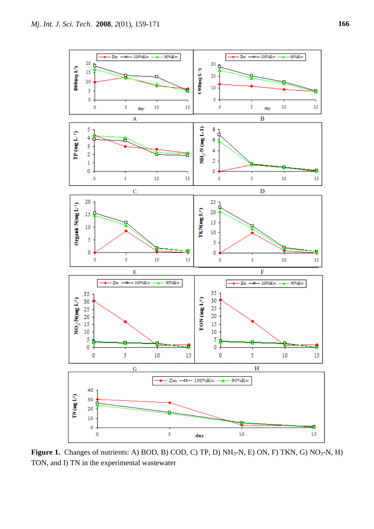

**Figure 1.** Changes of nutrients: A) BOD, B) COD, C) TP, D)  $NH<sub>3</sub>-N$ , E) ON, F) TKN, G)  $NO<sub>3</sub>-N$ , H) TON, and I) TN in the experimental wastewater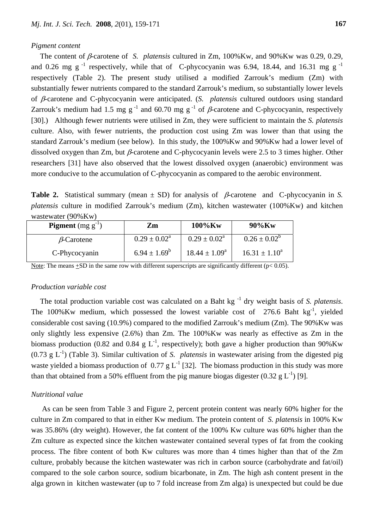#### *Pigment content*

The content of β-carotene of *S. platensis* cultured in Zm, 100%Kw, and 90%Kw was 0.29, 0.29, and 0.26 mg g<sup>-1</sup> respectively, while that of C-phycocyanin was 6.94, 18.44, and 16.31 mg g<sup>-1</sup> respectively (Table 2). The present study utilised a modified Zarrouk's medium (Zm) with substantially fewer nutrients compared to the standard Zarrouk's medium, so substantially lower levels of β-carotene and C-phycocyanin were anticipated. (*S. platensis* cultured outdoors using standard Zarrouk's medium had 1.5 mg g<sup>-1</sup> and 60.70 mg g<sup>-1</sup> of  $\beta$ -carotene and C-phycocyanin, respectively [30].) Although fewer nutrients were utilised in Zm, they were sufficient to maintain the *S. platensis*  culture. Also, with fewer nutrients, the production cost using Zm was lower than that using the standard Zarrouk's medium (see below). In this study, the 100%Kw and 90%Kw had a lower level of dissolved oxygen than Zm, but  $\beta$ -carotene and C-phycocyanin levels were 2.5 to 3 times higher. Other researchers [31] have also observed that the lowest dissolved oxygen (anaerobic) environment was more conducive to the accumulation of C-phycocyanin as compared to the aerobic environment.

**Table 2.** Statistical summary (mean ± SD) for analysis of β-carotene and C-phycocyanin in *S. platensis* culture in modified Zarrouk's medium (Zm), kitchen wastewater (100%Kw) and kitchen wastewater (90%Kw)

| <b>Pigment</b> $(mg g^{-1})$ | Zm                         | $100\%$ Kw               | $90\%$ Kw          |
|------------------------------|----------------------------|--------------------------|--------------------|
| $\beta$ -Carotene            | $0.29 \pm 0.02^{\text{a}}$ | $0.29 \pm 0.02^{\rm a}$  | $0.26 \pm 0.02^b$  |
| C-Phycocyanin                | $6.94 \pm 1.69^b$          | $18.44 \pm 1.09^{\circ}$ | $16.31 \pm 1.10^a$ |

Note: The means  $\pm SD$  in the same row with different superscripts are significantly different ( $p < 0.05$ ).

#### *Production variable cost*

The total production variable cost was calculated on a Baht kg -1 dry weight basis of *S. platensis*. The 100%Kw medium, which possessed the lowest variable cost of  $276.6$  Baht kg<sup>-1</sup>, yielded considerable cost saving (10.9%) compared to the modified Zarrouk's medium (Zm). The 90%Kw was only slightly less expensive (2.6%) than Zm. The 100%Kw was nearly as effective as Zm in the biomass production (0.82 and 0.84 g  $L^{-1}$ , respectively); both gave a higher production than 90%Kw  $(0.73 \text{ g L}^{-1})$  (Table 3). Similar cultivation of *S. platensis* in wastewater arising from the digested pig waste yielded a biomass production of 0.77 g L<sup>-1</sup> [32]. The biomass production in this study was more than that obtained from a 50% effluent from the pig manure biogas digester (0.32 g  $L^{-1}$ ) [9].

#### *Nutritional value*

 As can be seen from Table 3 and Figure 2, percent protein content was nearly 60% higher for the culture in Zm compared to that in either Kw medium. The protein content of *S. platensis* in 100% Kw was 35.86% (dry weight). However, the fat content of the 100% Kw culture was 60% higher than the Zm culture as expected since the kitchen wastewater contained several types of fat from the cooking process. The fibre content of both Kw cultures was more than 4 times higher than that of the Zm culture, probably because the kitchen wastewater was rich in carbon source (carbohydrate and fat/oil) compared to the sole carbon source, sodium bicarbonate, in Zm. The high ash content present in the alga grown in kitchen wastewater (up to 7 fold increase from Zm alga) is unexpected but could be due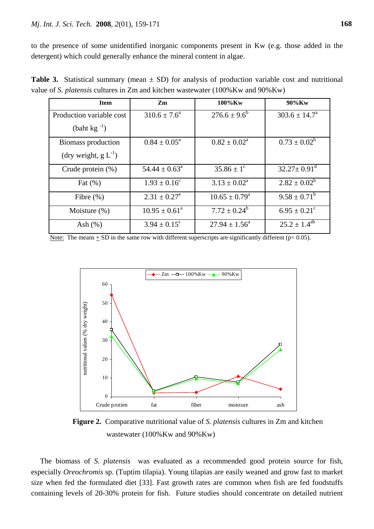to the presence of some unidentified inorganic components present in Kw (e.g. those added in the detergent) which could generally enhance the mineral content in algae.

**Table 3.** Statistical summary (mean  $\pm$  SD) for analysis of production variable cost and nutritional value of *S. platensis* cultures in Zm and kitchen wastewater (100%Kw and 90%Kw)

| <b>Item</b>               | Zm                         | 100%Kw                     | $90\%$ Kw                     |
|---------------------------|----------------------------|----------------------------|-------------------------------|
| Production variable cost  | $310.6 \pm 7.6^{\circ}$    | $276.6 \pm 9.6^b$          | $303.6 \pm 14.7^{\circ}$      |
| $(baht kg-1)$             |                            |                            |                               |
| Biomass production        | $0.84 \pm 0.05^{\text{a}}$ | $0.82 \pm 0.02^{\text{a}}$ | $0.73 \pm 0.02^b$             |
| (dry weight, $g L^{-1}$ ) |                            |                            |                               |
| Crude protein $(\%)$      | $54.44 \pm 0.63^{\circ}$   | $35.86 \pm 1^{\circ}$      | $32.27 \pm 0.91$ <sup>d</sup> |
| Fat $(\%)$                | $1.93 \pm 0.16^c$          | $3.13 \pm 0.02^{\text{a}}$ | $2.82 \pm 0.02^b$             |
| Fibre $(\% )$             | $2.31 \pm 0.27^e$          | $10.65 \pm 0.79^{\circ}$   | $9.58 \pm 0.71^b$             |
| Moisture (%)              | $10.95 \pm 0.61^{\circ}$   | $7.72 \pm 0.24^b$          | $6.95 \pm 0.21^{\circ}$       |
| Ash $(\%)$                | $3.94 \pm 0.15^{\circ}$    | $27.94 \pm 1.56^{\circ}$   | $25.2 \pm 1.4^{ab}$           |

Note: The means  $+$  SD in the same row with different superscripts are significantly different ( $p$ < 0.05).



 **Figure 2.** Comparative nutritional value of *S. platensis* cultures in Zm and kitchen wastewater (100%Kw and 90%Kw)

The biomass of *S. platensis* was evaluated as a recommended good protein source for fish, especially *Oreochromis* sp. (Tuptim tilapia). Young tilapias are easily weaned and grow fast to market size when fed the formulated diet [33]. Fast growth rates are common when fish are fed foodstuffs containing levels of 20-30% protein for fish. Future studies should concentrate on detailed nutrient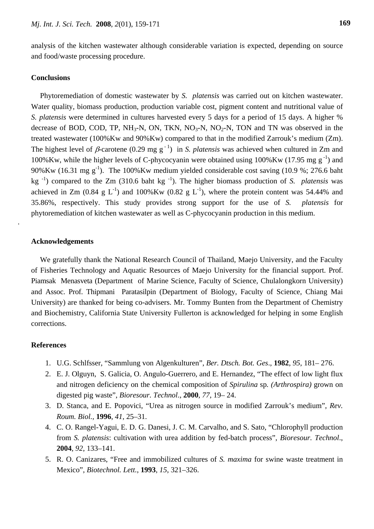analysis of the kitchen wastewater although considerable variation is expected, depending on source and food/waste processing procedure.

#### **Conclusions**

Phytoremediation of domestic wastewater by *S. platensis* was carried out on kitchen wastewater. Water quality, biomass production, production variable cost, pigment content and nutritional value of *S. platensis* were determined in cultures harvested every 5 days for a period of 15 days. A higher % decrease of BOD, COD, TP, NH<sub>3</sub>-N, ON, TKN, NO<sub>3</sub>-N, NO<sub>2</sub>-N, TON and TN was observed in the treated wastewater (100%Kw and 90%Kw) compared to that in the modified Zarrouk's medium (Zm). The highest level of  $\beta$ -carotene (0.29 mg g<sup>-1</sup>) in *S. platensis* was achieved when cultured in Zm and 100%Kw, while the higher levels of C-phycocyanin were obtained using  $100\%$ Kw (17.95 mg g<sup>-1</sup>) and 90%Kw (16.31 mg  $g^{-1}$ ). The 100%Kw medium yielded considerable cost saving (10.9 %; 276.6 baht kg<sup>-1</sup>) compared to the Zm (310.6 baht kg<sup>-1</sup>). The higher biomass production of *S. platensis* was achieved in Zm  $(0.84 \text{ g L}^{-1})$  and  $100\%$ Kw  $(0.82 \text{ g L}^{-1})$ , where the protein content was 54.44% and 35.86%, respectively. This study provides strong support for the use of *S. platensis* for phytoremediation of kitchen wastewater as well as C-phycocyanin production in this medium.

#### **Acknowledgements**

.

We gratefully thank the National Research Council of Thailand, Maejo University, and the Faculty of Fisheries Technology and Aquatic Resources of Maejo University for the financial support. Prof. Piamsak Menasveta (Department of Marine Science, Faculty of Science, Chulalongkorn University) and Assoc. Prof. Thipmani Paratasilpin (Department of Biology, Faculty of Science, Chiang Mai University) are thanked for being co-advisers. Mr. Tommy Bunten from the Department of Chemistry and Biochemistry, California State University Fullerton is acknowledged for helping in some English corrections.

#### **References**

- 1. U.G. Schlfsser, "Sammlung von Algenkulturen", *Ber. Dtsch. Bot. Ges*., **1982**, *95*, 181– 276.
- 2. E. J. Olguyn, S. Galicia, O. Angulo-Guerrero, and E. Hernandez, "The effect of low light flux and nitrogen deficiency on the chemical composition of *Spirulina* sp*. (Arthrospira)* grown on digested pig waste", *Bioresour. Technol*., **2000**, *77*, 19– 24.
- 3. D. Stanca, and E. Popovici, "Urea as nitrogen source in modified Zarrouk's medium", *Rev. Roum. Biol.,* **1996**, *41*, 25–31.
- 4. C. O. Rangel-Yagui, E. D. G. Danesi, J. C. M. Carvalho, and S. Sato, "Chlorophyll production from *S. platensis*: cultivation with urea addition by fed-batch process", *Bioresour. Technol*., **2004**, *92*, 133–141.
- 5. R. O. Canizares, "Free and immobilized cultures of *S. maxima* for swine waste treatment in Mexico", *Biotechnol. Lett.*, **1993**, *15*, 321–326.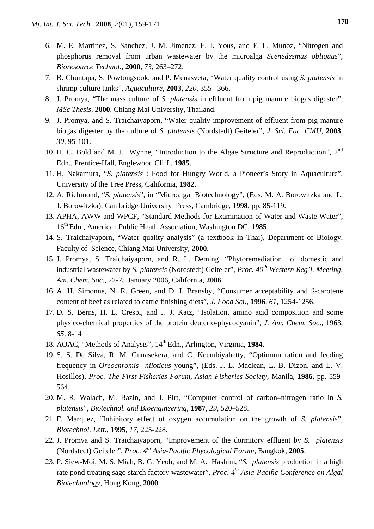- 6. M. E. Martinez, S. Sanchez, J. M. Jimenez, E. I. Yous, and F. L. Munoz, "Nitrogen and phosphorus removal from urban wastewater by the microalga *Scenedesmus obliquus*", *Bioresource Technol*., **2000**, *73*, 263–272.
- 7. B. Chuntapa, S. Powtongsook, and P. Menasveta, "Water quality control using *S. platensis* in shrimp culture tanks", *Aquaculture*, **2003**, *220*, 355– 366.
- 8. J. Promya, "The mass culture of *S. platensis* in effluent from pig manure biogas digester", *MSc Thesis,* **2000**, Chiang Mai University, Thailand.
- 9. J. Promya, and S. Traichaiyaporn, "Water quality improvement of effluent from pig manure biogas digester by the culture of *S. platensis* (Nordstedt) Geiteler", *J. Sci. Fac. CMU*, **2003**, *30*, 95-101.
- 10. H. C. Bold and M. J. Wynne, "Introduction to the Algae Structure and Reproduction", 2<sup>nd</sup> Edn., Prentice-Hall, Englewood Cliff., **1985**.
- 11. H. Nakamura, "*S. platensis* : Food for Hungry World, a Pioneer's Story in Aquaculture", University of the Tree Press, California, **1982**.
- 12. A. Richmond, "*S. platensis*", in "Microalga Biotechnology"*,* (Eds. M. A. Borowitzka and L. J. Borowitzka), Cambridge University Press, Cambridge, **1998**, pp. 85-119.
- 13. APHA, AWW and WPCF, "Standard Methods for Examination of Water and Waste Water", 16th Edn., American Public Heath Association, Washington DC, **1985**.
- 14. S. Traichaiyaporn, "Water quality analysis" (a textbook in Thai), Department of Biology, Faculty of Science, Chiang Mai University, **2000**.
- 15. J. Promya, S. Traichaiyaporn, and R. L. Deming, "Phytoremediation of domestic and industrial wastewater by *S. platensis* (Nordstedt) Geiteler", *Proc.* 40<sup>th</sup> Western Reg'l. Meeting, *Am. Chem. Soc.,* 22-25 January 2006, California, **2006**.
- 16. A. H. Simonne, N. R. Green, and D. I. Bransby, "Consumer acceptability and ß-carotene content of beef as related to cattle finishing diets", *J. Food Sci*., **1996**, *61*, 1254-1256.
- 17. D. S. Berns, H. L. Crespi, and J. J. Katz, "Isolation, amino acid composition and some physico-chemical properties of the protein deuterio-phycocyanin", *J. Am. Chem. Soc*., 1963, *85*, 8-14
- 18. AOAC, "Methods of Analysis", 14<sup>th</sup> Edn., Arlington, Virginia, 1984.
- 19. S. S. De Silva, R. M. Gunasekera, and C. Keembiyahetty, "Optimum ration and feeding frequency in *Oreochromis niloticus* young", (Eds. J. L. Maclean, L. B. Dizon, and L. V. Hosillos), *Proc. The First Fisheries Forum, Asian Fisheries Society*, Manila, **1986**, pp. 559- 564.
- 20. M. R. Walach, M. Bazin, and J. Pirt, "Computer control of carbon–nitrogen ratio in *S. platensis*", *Biotechnol. and Bioengineering*, **1987**, *29*, 520–528.
- 21. F. Marquez, "Inhibitory effect of oxygen accumulation on the growth of *S. platensis*", *Biotechnol. Lett*., **1995**, *17*, 225-228.
- 22. J. Promya and S. Traichaiyaporn, "Improvement of the dormitory effluent by *S. platensis* (Nordstedt) Geiteler", *Proc. 4th Asia-Pacific Phycological Forum*, Bangkok, **2005**.
- 23. P. Siew-Moi, M. S. Miah, B. G. Yeoh, and M. A. Hashim, "*S. platensis* production in a high rate pond treating sago starch factory wastewater", *Proc.* 4<sup>th</sup> Asia-Pacific Conference on Algal *Biotechnology*, Hong Kong, **2000**.